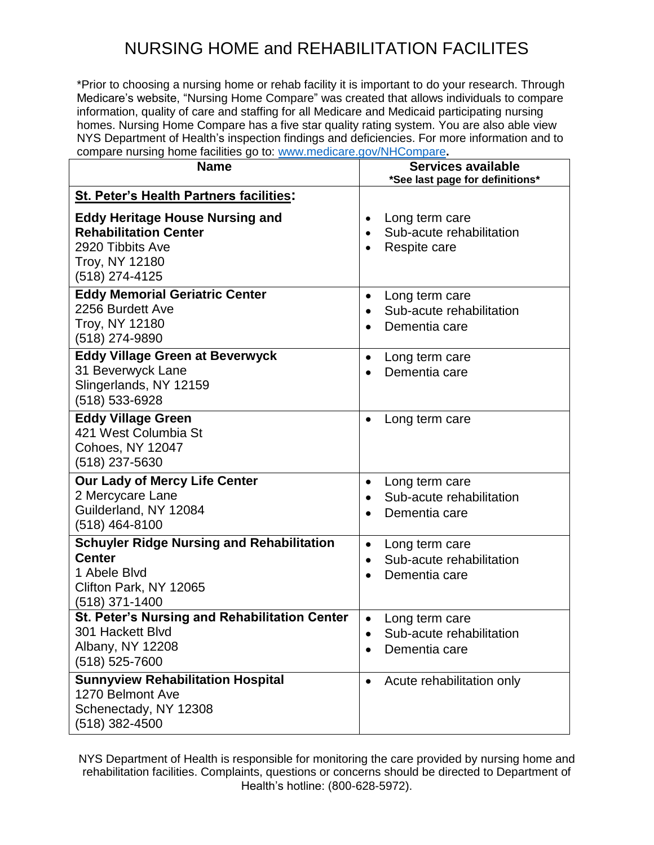\*Prior to choosing a nursing home or rehab facility it is important to do your research. Through Medicare's website, "Nursing Home Compare" was created that allows individuals to compare information, quality of care and staffing for all Medicare and Medicaid participating nursing homes. Nursing Home Compare has a five star quality rating system. You are also able view NYS Department of Health's inspection findings and deficiencies. For more information and to compare nursing home facilities go to: [www.medicare.gov/NHCompare](http://www.medicare.gov/NHCompare)**.** 

| <b>Name</b>                                                                                                                    | <b>Services available</b><br>*See last page for definitions*                                      |
|--------------------------------------------------------------------------------------------------------------------------------|---------------------------------------------------------------------------------------------------|
| <b>St. Peter's Health Partners facilities:</b>                                                                                 |                                                                                                   |
| <b>Eddy Heritage House Nursing and</b><br><b>Rehabilitation Center</b><br>2920 Tibbits Ave<br>Troy, NY 12180<br>(518) 274-4125 | Long term care<br>$\bullet$<br>Sub-acute rehabilitation<br>$\bullet$<br>Respite care<br>$\bullet$ |
| <b>Eddy Memorial Geriatric Center</b>                                                                                          | Long term care<br>$\bullet$                                                                       |
| 2256 Burdett Ave                                                                                                               | Sub-acute rehabilitation<br>$\bullet$                                                             |
| Troy, NY 12180<br>(518) 274-9890                                                                                               | Dementia care<br>$\bullet$                                                                        |
| <b>Eddy Village Green at Beverwyck</b>                                                                                         | Long term care<br>٠                                                                               |
| 31 Beverwyck Lane                                                                                                              | Dementia care<br>$\bullet$                                                                        |
| Slingerlands, NY 12159<br>(518) 533-6928                                                                                       |                                                                                                   |
| <b>Eddy Village Green</b>                                                                                                      |                                                                                                   |
| 421 West Columbia St                                                                                                           | Long term care<br>$\bullet$                                                                       |
| <b>Cohoes, NY 12047</b>                                                                                                        |                                                                                                   |
| (518) 237-5630                                                                                                                 |                                                                                                   |
| <b>Our Lady of Mercy Life Center</b>                                                                                           | Long term care<br>$\bullet$                                                                       |
| 2 Mercycare Lane                                                                                                               | Sub-acute rehabilitation<br>$\bullet$                                                             |
| Guilderland, NY 12084<br>(518) 464-8100                                                                                        | Dementia care<br>$\bullet$                                                                        |
| <b>Schuyler Ridge Nursing and Rehabilitation</b>                                                                               | Long term care<br>$\bullet$                                                                       |
| <b>Center</b>                                                                                                                  | Sub-acute rehabilitation<br>$\bullet$                                                             |
| 1 Abele Blvd                                                                                                                   | Dementia care<br>$\bullet$                                                                        |
| Clifton Park, NY 12065<br>$(518)$ 371-1400                                                                                     |                                                                                                   |
| St. Peter's Nursing and Rehabilitation Center                                                                                  | Long term care<br>$\bullet$                                                                       |
| 301 Hackett Blvd                                                                                                               | Sub-acute rehabilitation<br>$\bullet$                                                             |
| Albany, NY 12208                                                                                                               | Dementia care                                                                                     |
| (518) 525-7600                                                                                                                 |                                                                                                   |
| <b>Sunnyview Rehabilitation Hospital</b>                                                                                       | Acute rehabilitation only<br>$\bullet$                                                            |
| 1270 Belmont Ave<br>Schenectady, NY 12308                                                                                      |                                                                                                   |
| $(518)$ 382-4500                                                                                                               |                                                                                                   |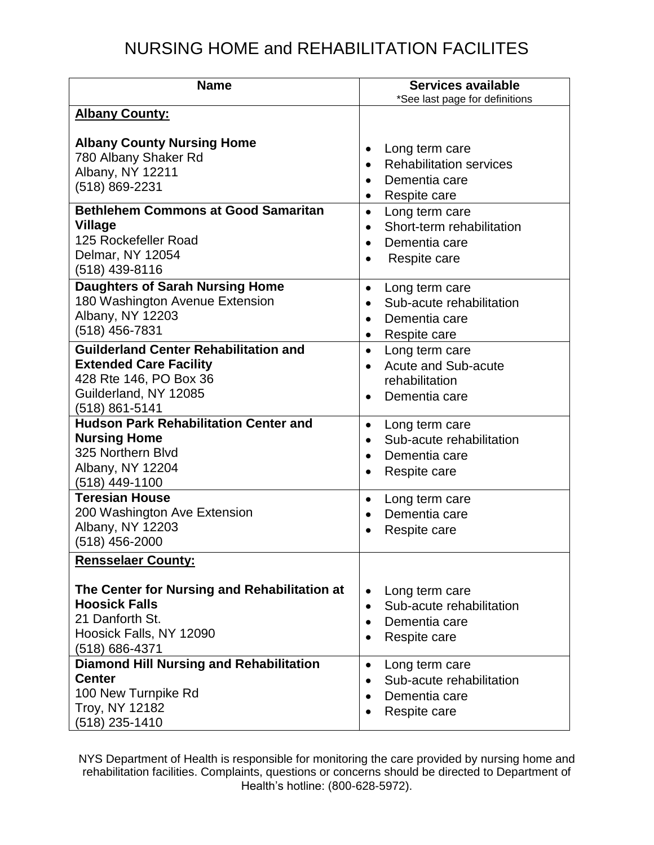| <b>Name</b>                                                                                                                                        | <b>Services available</b><br>*See last page for definitions                                                                             |  |  |
|----------------------------------------------------------------------------------------------------------------------------------------------------|-----------------------------------------------------------------------------------------------------------------------------------------|--|--|
| <b>Albany County:</b>                                                                                                                              |                                                                                                                                         |  |  |
| <b>Albany County Nursing Home</b><br>780 Albany Shaker Rd<br>Albany, NY 12211<br>(518) 869-2231<br><b>Bethlehem Commons at Good Samaritan</b>      | Long term care<br>٠<br><b>Rehabilitation services</b><br>Dementia care<br>$\bullet$<br>Respite care<br>٠<br>Long term care<br>$\bullet$ |  |  |
| Village<br>125 Rockefeller Road<br>Delmar, NY 12054<br>(518) 439-8116                                                                              | Short-term rehabilitation<br>$\bullet$<br>Dementia care<br>$\bullet$<br>Respite care<br>$\bullet$                                       |  |  |
| <b>Daughters of Sarah Nursing Home</b><br>180 Washington Avenue Extension<br>Albany, NY 12203<br>(518) 456-7831                                    | Long term care<br>$\bullet$<br>Sub-acute rehabilitation<br>$\bullet$<br>Dementia care<br>$\bullet$<br>Respite care<br>$\bullet$         |  |  |
| <b>Guilderland Center Rehabilitation and</b><br><b>Extended Care Facility</b><br>428 Rte 146, PO Box 36<br>Guilderland, NY 12085<br>(518) 861-5141 | Long term care<br>$\bullet$<br><b>Acute and Sub-acute</b><br>$\bullet$<br>rehabilitation<br>Dementia care<br>$\bullet$                  |  |  |
| <b>Hudson Park Rehabilitation Center and</b><br><b>Nursing Home</b><br>325 Northern Blvd<br>Albany, NY 12204<br>$(518)$ 449-1100                   | Long term care<br>$\bullet$<br>Sub-acute rehabilitation<br>$\bullet$<br>Dementia care<br>$\bullet$<br>Respite care                      |  |  |
| <b>Teresian House</b><br>200 Washington Ave Extension<br>Albany, NY 12203<br>$(518)$ 456-2000                                                      | Long term care<br>$\bullet$<br>Dementia care<br>$\bullet$<br>Respite care<br>$\bullet$                                                  |  |  |
| <b>Rensselaer County:</b>                                                                                                                          |                                                                                                                                         |  |  |
| The Center for Nursing and Rehabilitation at<br><b>Hoosick Falls</b><br>21 Danforth St.<br>Hoosick Falls, NY 12090<br>(518) 686-4371               | Long term care<br>$\bullet$<br>Sub-acute rehabilitation<br>$\bullet$<br>Dementia care<br>$\bullet$<br>Respite care<br>٠                 |  |  |
| <b>Diamond Hill Nursing and Rehabilitation</b><br><b>Center</b><br>100 New Turnpike Rd<br>Troy, NY 12182<br>$(518)$ 235-1410                       | Long term care<br>$\bullet$<br>Sub-acute rehabilitation<br>$\bullet$<br>Dementia care<br>$\bullet$<br>Respite care<br>٠                 |  |  |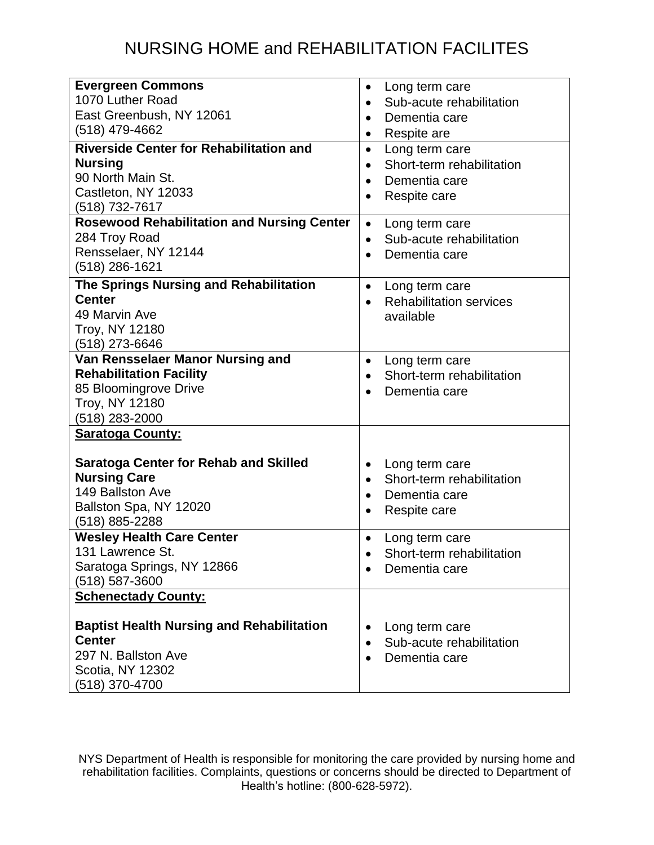| <b>Evergreen Commons</b>                           | Long term care<br>$\bullet$                 |
|----------------------------------------------------|---------------------------------------------|
| 1070 Luther Road                                   | Sub-acute rehabilitation<br>$\bullet$       |
| East Greenbush, NY 12061                           | Dementia care<br>$\bullet$                  |
| (518) 479-4662                                     | Respite are<br>٠                            |
| <b>Riverside Center for Rehabilitation and</b>     | Long term care<br>$\bullet$                 |
| <b>Nursing</b>                                     | Short-term rehabilitation<br>$\bullet$      |
| 90 North Main St.                                  | Dementia care<br>$\bullet$                  |
| Castleton, NY 12033                                | Respite care<br>$\bullet$                   |
| (518) 732-7617                                     |                                             |
| <b>Rosewood Rehabilitation and Nursing Center</b>  | Long term care<br>$\bullet$                 |
| 284 Troy Road                                      | Sub-acute rehabilitation<br>$\bullet$       |
| Rensselaer, NY 12144                               | Dementia care<br>$\bullet$                  |
| (518) 286-1621                                     |                                             |
| The Springs Nursing and Rehabilitation             | Long term care<br>$\bullet$                 |
| <b>Center</b>                                      | <b>Rehabilitation services</b><br>$\bullet$ |
| 49 Marvin Ave                                      | available                                   |
| <b>Troy, NY 12180</b>                              |                                             |
| (518) 273-6646                                     |                                             |
| Van Rensselaer Manor Nursing and                   | Long term care<br>$\bullet$                 |
| <b>Rehabilitation Facility</b>                     | Short-term rehabilitation<br>$\bullet$      |
| 85 Bloomingrove Drive                              | Dementia care<br>$\bullet$                  |
| <b>Troy, NY 12180</b>                              |                                             |
| $(518)$ 283-2000                                   |                                             |
| <b>Saratoga County:</b>                            |                                             |
|                                                    |                                             |
| <b>Saratoga Center for Rehab and Skilled</b>       | Long term care<br>$\bullet$                 |
| <b>Nursing Care</b><br>149 Ballston Ave            | Short-term rehabilitation<br>$\bullet$      |
|                                                    | Dementia care<br>$\bullet$                  |
| Ballston Spa, NY 12020                             | Respite care<br>$\bullet$                   |
| (518) 885-2288<br><b>Wesley Health Care Center</b> |                                             |
| 131 Lawrence St.                                   | Long term care<br>$\bullet$                 |
| Saratoga Springs, NY 12866                         | Short-term rehabilitation                   |
| $(518) 587 - 3600$                                 | Dementia care                               |
| <b>Schenectady County:</b>                         |                                             |
|                                                    |                                             |
| <b>Baptist Health Nursing and Rehabilitation</b>   | Long term care<br>$\bullet$                 |
| <b>Center</b>                                      | Sub-acute rehabilitation<br>$\bullet$       |
| 297 N. Ballston Ave                                | Dementia care<br>$\bullet$                  |
| Scotia, NY 12302                                   |                                             |
| (518) 370-4700                                     |                                             |